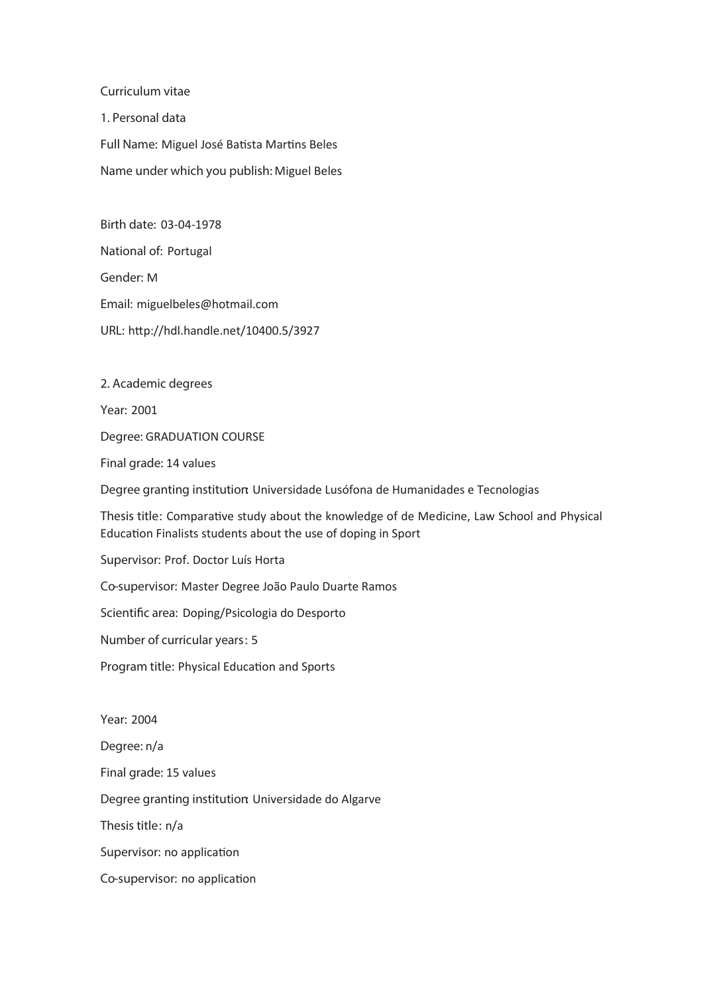**Curriculum vitae**

**1. Personal data Full Name:** Miguel José Batista Martins Beles **Name under which you publish:** Miguel Beles

**Birth date:** 03-04-1978 **National of:** Portugal **Gender:** M **Email:** miguelbeles@hotmail.com **URL:** http://hdl.handle.net/10400.5/3927

**2. Academic degrees**

**Year:** 2001

**Degree:** GRADUATION COURSE

**Final grade:** 14 values

**Degree granting institution:** Universidade Lusófona de Humanidades e Tecnologias

**Thesis title:** Comparative study about the knowledge of de Medicine, Law School and Physical Education Finalists students about the use of doping in Sport

**Supervisor:** Prof. Doctor Luís Horta

**Co-supervisor:** Master Degree João Paulo Duarte Ramos

Scientific area: Doping/Psicologia do Desporto

**Number of curricular years:** 5

**Program title:** Physical Education and Sports

**Year:** 2004

**Degree:** n/a

**Final grade:** 15 values

**Degree granting institution:** Universidade do Algarve

**Thesis title:** n/a

**Supervisor:** no application

**Co-supervisor:** no application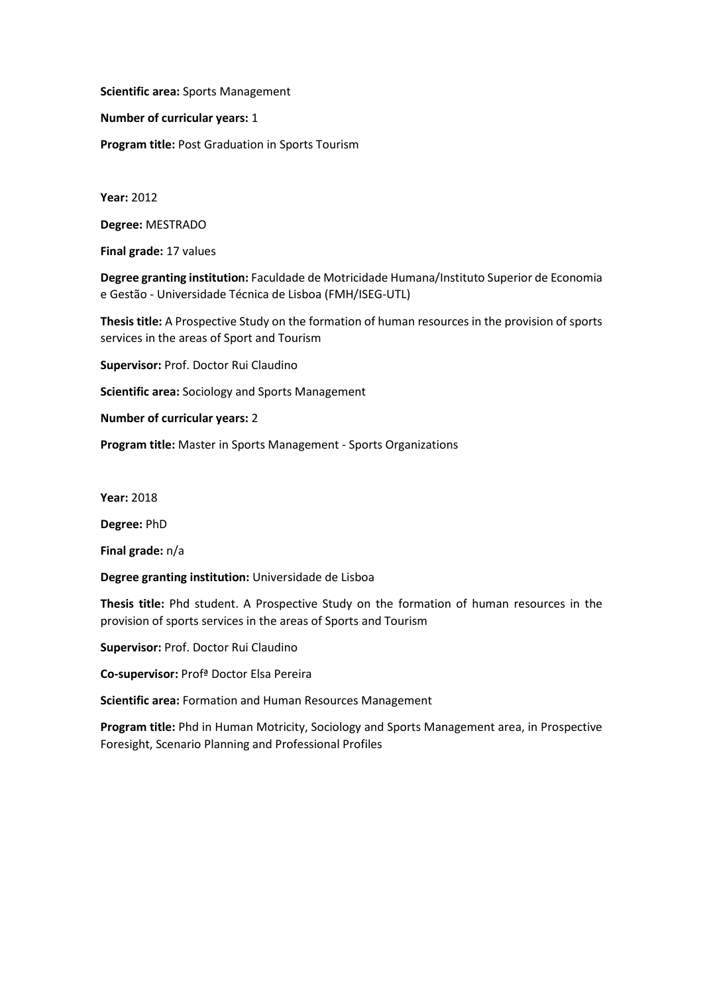**Scientific area:** Sports Management

**Number of curricular years:** 1

**Program title:** Post Graduation in Sports Tourism

**Year:** 2012

**Degree:** MESTRADO

**Final grade:** 17 values

**Degree granting institution:** Faculdade de Motricidade Humana/Instituto Superior de Economia e Gestão - Universidade Técnica de Lisboa (FMH/ISEG-UTL)

**Thesis title:** A Prospective Study on the formation of human resources in the provision of sports services in the areas of Sport and Tourism

**Supervisor:** Prof. Doctor Rui Claudino

**Scientific area:** Sociology and Sports Management

**Number of curricular years:** 2

**Program title:** Master in Sports Management - Sports Organizations

**Year:** 2018

**Degree:** PhD

**Final grade:** n/a

**Degree granting institution:** Universidade de Lisboa

**Thesis title:** Phd student. A Prospective Study on the formation of human resources in the provision of sports services in the areas of Sports and Tourism

**Supervisor:** Prof. Doctor Rui Claudino

**Co-supervisor:** Profª Doctor Elsa Pereira

**Scientific area:** Formation and Human Resources Management

**Program title:** Phd in Human Motricity, Sociology and Sports Management area, in Prospective Foresight, Scenario Planning and Professional Profiles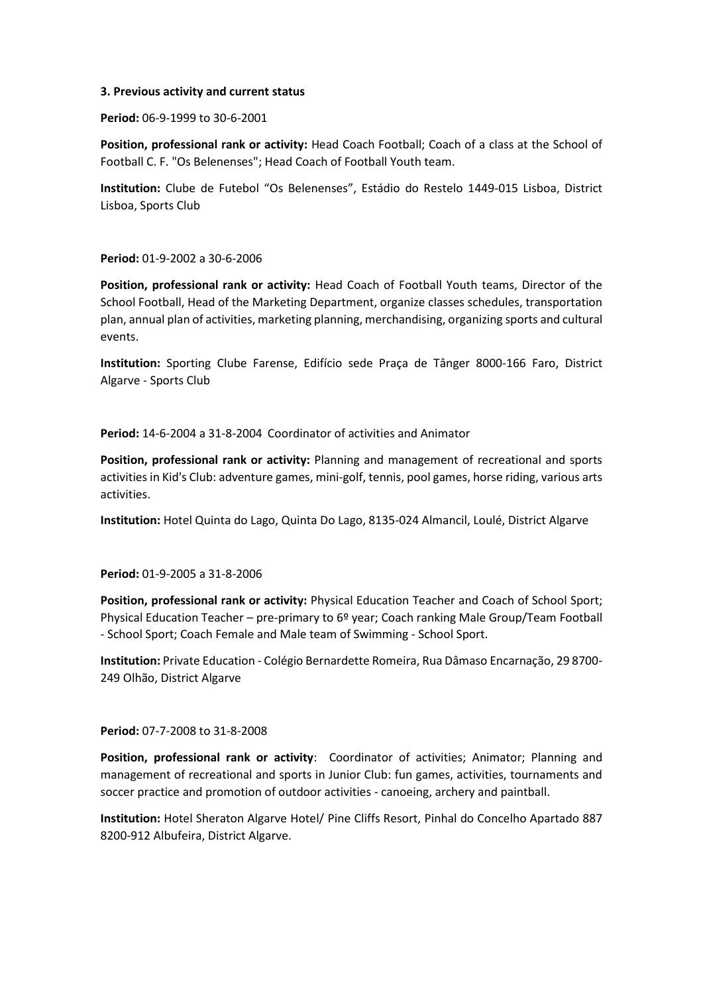### **3. Previous activity and current status**

**Period:** 06-9-1999 to 30-6-2001

**Position, professional rank or activity:** Head Coach Football; Coach of a class at the School of Football C. F. "Os Belenenses"; Head Coach of Football Youth team.

**Institution:** Clube de Futebol "Os Belenenses", Estádio do Restelo 1449-015 Lisboa, District Lisboa, Sports Club

**Period:** 01-9-2002 a 30-6-2006

**Position, professional rank or activity:** Head Coach of Football Youth teams, Director of the School Football, Head of the Marketing Department, organize classes schedules, transportation plan, annual plan of activities, marketing planning, merchandising, organizing sports and cultural events.

**Institution:** Sporting Clube Farense, Edifício sede Praça de Tânger 8000-166 Faro, District Algarve - Sports Club

**Period:** 14-6-2004 a 31-8-2004 Coordinator of activities and Animator

**Position, professional rank or activity:** Planning and management of recreational and sports activities in Kid's Club: adventure games, mini-golf, tennis, pool games, horse riding, various arts activities.

**Institution:** Hotel Quinta do Lago, Quinta Do Lago, 8135-024 Almancil, Loulé, District Algarve

**Period:** 01-9-2005 a 31-8-2006

**Position, professional rank or activity:** Physical Education Teacher and Coach of School Sport; Physical Education Teacher – pre-primary to 6º year; Coach ranking Male Group/Team Football - School Sport; Coach Female and Male team of Swimming - School Sport.

**Institution:** Private Education - Colégio Bernardette Romeira, Rua Dâmaso Encarnação, 29 8700- 249 Olhão, District Algarve

**Period:** 07-7-2008 to 31-8-2008

**Position, professional rank or activity**: Coordinator of activities; Animator; Planning and management of recreational and sports in Junior Club: fun games, activities, tournaments and soccer practice and promotion of outdoor activities - canoeing, archery and paintball.

**Institution:** Hotel Sheraton Algarve Hotel/ Pine Cliffs Resort, Pinhal do Concelho Apartado 887 8200-912 Albufeira, District Algarve.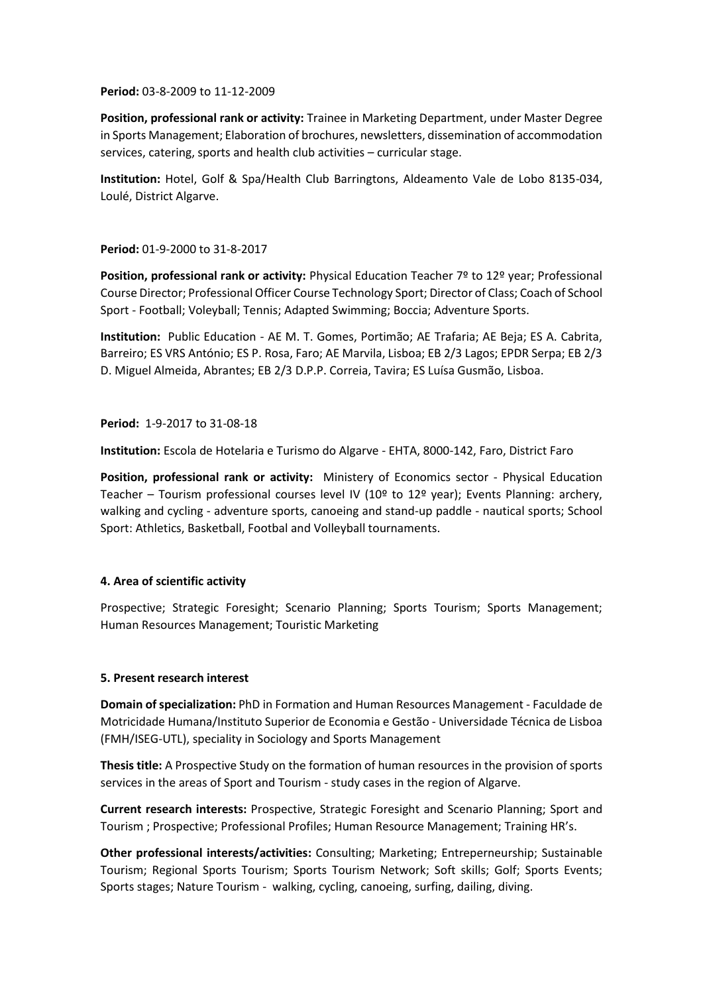# **Period:** 03-8-2009 to 11-12-2009

**Position, professional rank or activity:** Trainee in Marketing Department, under Master Degree in Sports Management; Elaboration of brochures, newsletters, dissemination of accommodation services, catering, sports and health club activities – curricular stage.

**Institution:** Hotel, Golf & Spa/Health Club Barringtons, Aldeamento Vale de Lobo 8135-034, Loulé, District Algarve.

### **Period:** 01-9-2000 to 31-8-2017

**Position, professional rank or activity:** Physical Education Teacher 7º to 12º year; Professional Course Director; Professional Officer Course Technology Sport; Director of Class; Coach of School Sport - Football; Voleyball; Tennis; Adapted Swimming; Boccia; Adventure Sports.

**Institution:** Public Education - AE M. T. Gomes, Portimão; AE Trafaria; AE Beja; ES A. Cabrita, Barreiro; ES VRS António; ES P. Rosa, Faro; AE Marvila, Lisboa; EB 2/3 Lagos; EPDR Serpa; EB 2/3 D. Miguel Almeida, Abrantes; EB 2/3 D.P.P. Correia, Tavira; ES Luísa Gusmão, Lisboa.

**Period:** 1-9-2017 to 31-08-18

**Institution:** Escola de Hotelaria e Turismo do Algarve - EHTA, 8000-142, Faro, District Faro

**Position, professional rank or activity:** Ministery of Economics sector - Physical Education Teacher – Tourism professional courses level IV (10<sup>o</sup> to 12<sup>o</sup> year); Events Planning: archery, walking and cycling - adventure sports, canoeing and stand-up paddle - nautical sports; School Sport: Athletics, Basketball, Footbal and Volleyball tournaments.

# **4. Area of scientific activity**

Prospective; Strategic Foresight; Scenario Planning; Sports Tourism; Sports Management; Human Resources Management; Touristic Marketing

#### **5. Present research interest**

**Domain of specialization:** PhD in Formation and Human Resources Management - Faculdade de Motricidade Humana/Instituto Superior de Economia e Gestão - Universidade Técnica de Lisboa (FMH/ISEG-UTL), speciality in Sociology and Sports Management

**Thesis title:** A Prospective Study on the formation of human resources in the provision of sports services in the areas of Sport and Tourism - study cases in the region of Algarve.

**Current research interests:** Prospective, Strategic Foresight and Scenario Planning; Sport and Tourism ; Prospective; Professional Profiles; Human Resource Management; Training HR's.

**Other professional interests/activities:** Consulting; Marketing; Entreperneurship; Sustainable Tourism; Regional Sports Tourism; Sports Tourism Network; Soft skills; Golf; Sports Events; Sports stages; Nature Tourism - walking, cycling, canoeing, surfing, dailing, diving.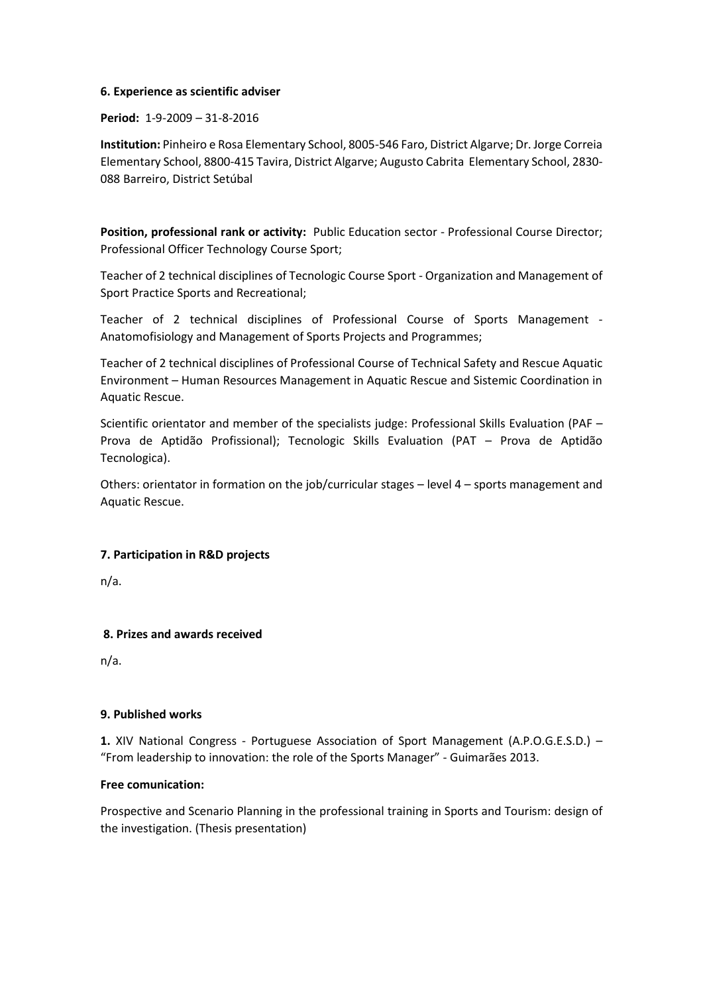# **6. Experience as scientific adviser**

**Period:** 1-9-2009 – 31-8-2016

**Institution:** Pinheiro e Rosa Elementary School, 8005-546 Faro, District Algarve; Dr. Jorge Correia Elementary School, 8800-415 Tavira, District Algarve; Augusto Cabrita Elementary School, 2830- 088 Barreiro, District Setúbal

**Position, professional rank or activity:** Public Education sector - Professional Course Director; Professional Officer Technology Course Sport;

Teacher of 2 technical disciplines of Tecnologic Course Sport - Organization and Management of Sport Practice Sports and Recreational;

Teacher of 2 technical disciplines of Professional Course of Sports Management - Anatomofisiology and Management of Sports Projects and Programmes;

Teacher of 2 technical disciplines of Professional Course of Technical Safety and Rescue Aquatic Environment – Human Resources Management in Aquatic Rescue and Sistemic Coordination in Aquatic Rescue.

Scientific orientator and member of the specialists judge: Professional Skills Evaluation (PAF – Prova de Aptidão Profissional); Tecnologic Skills Evaluation (PAT – Prova de Aptidão Tecnologica).

Others: orientator in formation on the job/curricular stages – level 4 – sports management and Aquatic Rescue.

# **7. Participation in R&D projects**

n/a.

# **8. Prizes and awards received**

n/a.

# **9. Published works**

**1.** XIV National Congress - Portuguese Association of Sport Management (A.P.O.G.E.S.D.) – "From leadership to innovation: the role of the Sports Manager" - Guimarães 2013.

# **Free comunication:**

Prospective and Scenario Planning in the professional training in Sports and Tourism: design of the investigation. (Thesis presentation)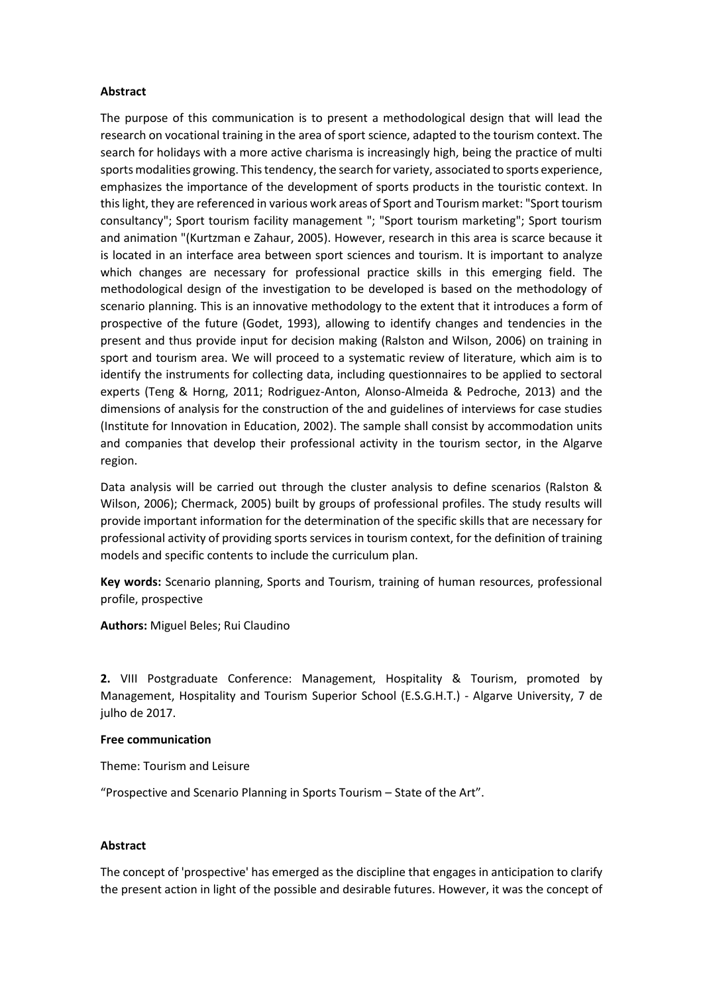### **Abstract**

The purpose of this communication is to present a methodological design that will lead the research on vocational training in the area of sport science, adapted to the tourism context. The search for holidays with a more active charisma is increasingly high, being the practice of multi sports modalities growing. This tendency, the search for variety, associated to sports experience, emphasizes the importance of the development of sports products in the touristic context. In this light, they are referenced in various work areas of Sport and Tourism market: "Sport tourism consultancy"; Sport tourism facility management "; "Sport tourism marketing"; Sport tourism and animation "(Kurtzman e Zahaur, 2005). However, research in this area is scarce because it is located in an interface area between sport sciences and tourism. It is important to analyze which changes are necessary for professional practice skills in this emerging field. The methodological design of the investigation to be developed is based on the methodology of scenario planning. This is an innovative methodology to the extent that it introduces a form of prospective of the future (Godet, 1993), allowing to identify changes and tendencies in the present and thus provide input for decision making (Ralston and Wilson, 2006) on training in sport and tourism area. We will proceed to a systematic review of literature, which aim is to identify the instruments for collecting data, including questionnaires to be applied to sectoral experts (Teng & Horng, 2011; Rodriguez-Anton, Alonso-Almeida & Pedroche, 2013) and the dimensions of analysis for the construction of the and guidelines of interviews for case studies (Institute for Innovation in Education, 2002). The sample shall consist by accommodation units and companies that develop their professional activity in the tourism sector, in the Algarve region.

Data analysis will be carried out through the cluster analysis to define scenarios (Ralston & Wilson, 2006); Chermack, 2005) built by groups of professional profiles. The study results will provide important information for the determination of the specific skills that are necessary for professional activity of providing sports services in tourism context, for the definition of training models and specific contents to include the curriculum plan.

**Key words:** Scenario planning, Sports and Tourism, training of human resources, professional profile, prospective

**Authors:** Miguel Beles; Rui Claudino

**2.** VIII Postgraduate Conference: Management, Hospitality & Tourism, promoted by Management, Hospitality and Tourism Superior School (E.S.G.H.T.) - Algarve University, 7 de julho de 2017.

#### **Free communication**

Theme: Tourism and Leisure

"Prospective and Scenario Planning in Sports Tourism – State of the Art".

#### **Abstract**

The concept of 'prospective' has emerged as the discipline that engages in anticipation to clarify the present action in light of the possible and desirable futures. However, it was the concept of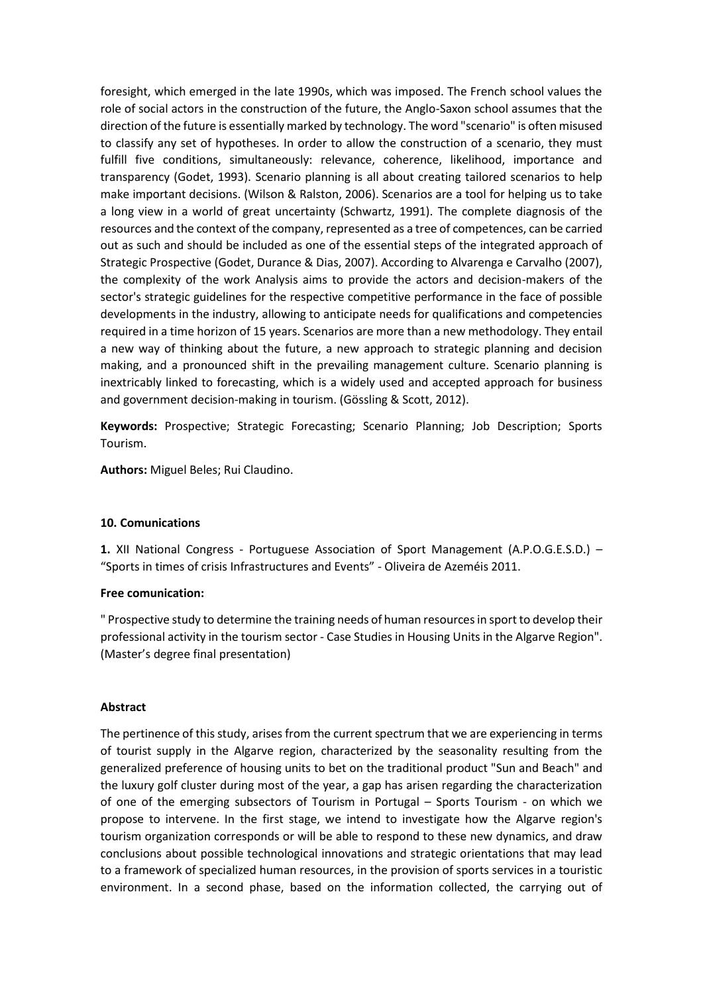foresight, which emerged in the late 1990s, which was imposed. The French school values the role of social actors in the construction of the future, the Anglo-Saxon school assumes that the direction of the future is essentially marked by technology. The word "scenario" is often misused to classify any set of hypotheses. In order to allow the construction of a scenario, they must fulfill five conditions, simultaneously: relevance, coherence, likelihood, importance and transparency (Godet, 1993). Scenario planning is all about creating tailored scenarios to help make important decisions. (Wilson & Ralston, 2006). Scenarios are a tool for helping us to take a long view in a world of great uncertainty (Schwartz, 1991). The complete diagnosis of the resources and the context of the company, represented as a tree of competences, can be carried out as such and should be included as one of the essential steps of the integrated approach of Strategic Prospective (Godet, Durance & Dias, 2007). According to Alvarenga e Carvalho (2007), the complexity of the work Analysis aims to provide the actors and decision-makers of the sector's strategic guidelines for the respective competitive performance in the face of possible developments in the industry, allowing to anticipate needs for qualifications and competencies required in a time horizon of 15 years. Scenarios are more than a new methodology. They entail a new way of thinking about the future, a new approach to strategic planning and decision making, and a pronounced shift in the prevailing management culture. Scenario planning is inextricably linked to forecasting, which is a widely used and accepted approach for business and government decision-making in tourism. (Gössling & Scott, 2012).

**Keywords:** Prospective; Strategic Forecasting; Scenario Planning; Job Description; Sports Tourism.

**Authors:** Miguel Beles; Rui Claudino.

#### **10. Comunications**

**1.** XII National Congress - Portuguese Association of Sport Management (A.P.O.G.E.S.D.) – "Sports in times of crisis Infrastructures and Events" - Oliveira de Azeméis 2011.

#### **Free comunication:**

" Prospective study to determine the training needs of human resources in sport to develop their professional activity in the tourism sector - Case Studies in Housing Units in the Algarve Region". (Master's degree final presentation)

#### **Abstract**

The pertinence of this study, arises from the current spectrum that we are experiencing in terms of tourist supply in the Algarve region, characterized by the seasonality resulting from the generalized preference of housing units to bet on the traditional product "Sun and Beach" and the luxury golf cluster during most of the year, a gap has arisen regarding the characterization of one of the emerging subsectors of Tourism in Portugal – Sports Tourism - on which we propose to intervene. In the first stage, we intend to investigate how the Algarve region's tourism organization corresponds or will be able to respond to these new dynamics, and draw conclusions about possible technological innovations and strategic orientations that may lead to a framework of specialized human resources, in the provision of sports services in a touristic environment. In a second phase, based on the information collected, the carrying out of